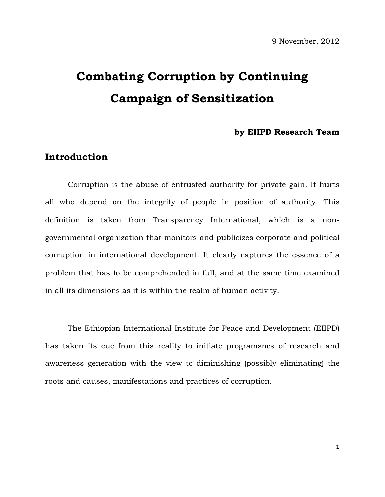# **Combating Corruption by Continuing Campaign of Sensitization**

#### **by EIIPD Research Team**

## **Introduction**

 Corruption is the abuse of entrusted authority for private gain. It hurts all who depend on the integrity of people in position of authority. This definition is taken from Transparency International, which is a nongovernmental organization that monitors and publicizes corporate and political corruption in international development. It clearly captures the essence of a problem that has to be comprehended in full, and at the same time examined in all its dimensions as it is within the realm of human activity.

The Ethiopian International Institute for Peace and Development (EIIPD) has taken its cue from this reality to initiate programsnes of research and awareness generation with the view to diminishing (possibly eliminating) the roots and causes, manifestations and practices of corruption.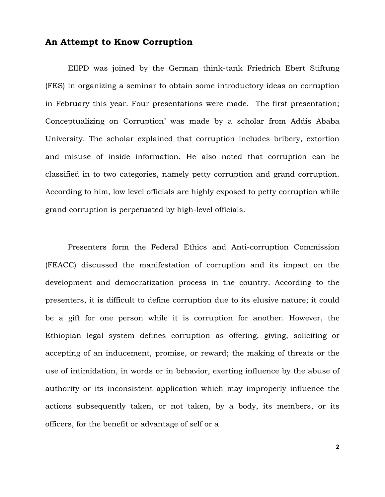#### **An Attempt to Know Corruption**

 EIIPD was joined by the German think-tank Friedrich Ebert Stiftung (FES) in organizing a seminar to obtain some introductory ideas on corruption in February this year. Four presentations were made. The first presentation; Conceptualizing on Corruption' was made by a scholar from Addis Ababa University. The scholar explained that corruption includes bribery, extortion and misuse of inside information. He also noted that corruption can be classified in to two categories, namely petty corruption and grand corruption. According to him, low level officials are highly exposed to petty corruption while grand corruption is perpetuated by high-level officials.

 Presenters form the Federal Ethics and Anti-corruption Commission (FEACC) discussed the manifestation of corruption and its impact on the development and democratization process in the country. According to the presenters, it is difficult to define corruption due to its elusive nature; it could be a gift for one person while it is corruption for another. However, the Ethiopian legal system defines corruption as offering, giving, soliciting or accepting of an inducement, promise, or reward; the making of threats or the use of intimidation, in words or in behavior, exerting influence by the abuse of authority or its inconsistent application which may improperly influence the actions subsequently taken, or not taken, by a body, its members, or its officers, for the benefit or advantage of self or a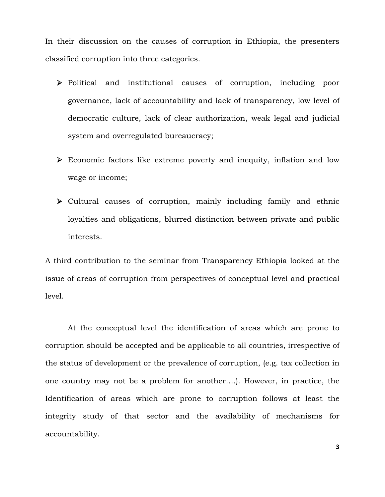In their discussion on the causes of corruption in Ethiopia, the presenters classified corruption into three categories.

- ¾ Political and institutional causes of corruption, including poor governance, lack of accountability and lack of transparency, low level of democratic culture, lack of clear authorization, weak legal and judicial system and overregulated bureaucracy;
- ¾ Economic factors like extreme poverty and inequity, inflation and low wage or income;
- $\triangleright$  Cultural causes of corruption, mainly including family and ethnic loyalties and obligations, blurred distinction between private and public interests.

A third contribution to the seminar from Transparency Ethiopia looked at the issue of areas of corruption from perspectives of conceptual level and practical level.

At the conceptual level the identification of areas which are prone to corruption should be accepted and be applicable to all countries, irrespective of the status of development or the prevalence of corruption, (e.g. tax collection in one country may not be a problem for another….). However, in practice, the Identification of areas which are prone to corruption follows at least the integrity study of that sector and the availability of mechanisms for accountability.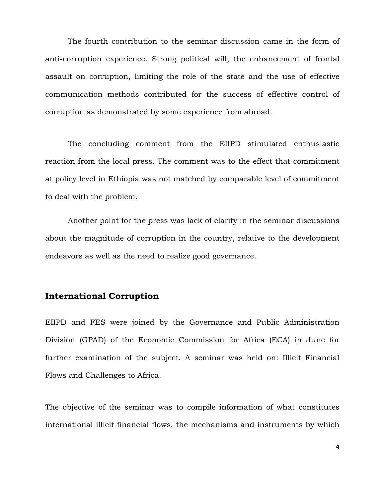The fourth contribution to the seminar discussion came in the form of anti-corruption experience. Strong political will, the enhancement of frontal assault on corruption, limiting the role of the state and the use of effective communication methods contributed for the success of effective control of corruption as demonstrated by some experience from abroad.

The concluding comment from the EIIPD stimulated enthusiastic reaction from the local press. The comment was to the effect that commitment at policy level in Ethiopia was not matched by comparable level of commitment to deal with the problem.

Another point for the press was lack of clarity in the seminar discussions about the magnitude of corruption in the country, relative to the development endeavors as well as the need to realize good governance.

## **International Corruption**

EIIPD and FES were joined by the Governance and Public Administration Division (GPAD) of the Economic Commission for Africa (ECA) in June for further examination of the subject. A seminar was held on: Illicit Financial Flows and Challenges to Africa.

The objective of the seminar was to compile information of what constitutes international illicit financial flows, the mechanisms and instruments by which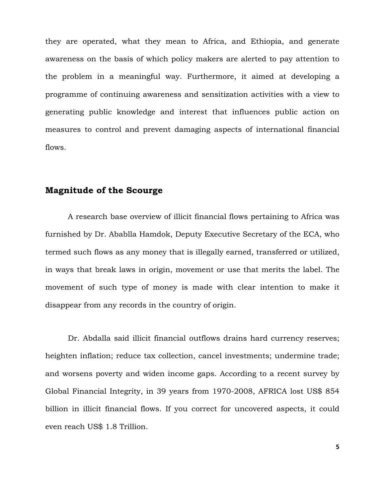they are operated, what they mean to Africa, and Ethiopia, and generate awareness on the basis of which policy makers are alerted to pay attention to the problem in a meaningful way. Furthermore, it aimed at developing a programme of continuing awareness and sensitization activities with a view to generating public knowledge and interest that influences public action on measures to control and prevent damaging aspects of international financial flows.

## **Magnitude of the Scourge**

A research base overview of illicit financial flows pertaining to Africa was furnished by Dr. Abablla Hamdok, Deputy Executive Secretary of the ECA, who termed such flows as any money that is illegally earned, transferred or utilized, in ways that break laws in origin, movement or use that merits the label. The movement of such type of money is made with clear intention to make it disappear from any records in the country of origin.

Dr. Abdalla said illicit financial outflows drains hard currency reserves; heighten inflation; reduce tax collection, cancel investments; undermine trade; and worsens poverty and widen income gaps. According to a recent survey by Global Financial Integrity, in 39 years from 1970-2008, AFRICA lost US\$ 854 billion in illicit financial flows. If you correct for uncovered aspects, it could even reach US\$ 1.8 Trillion.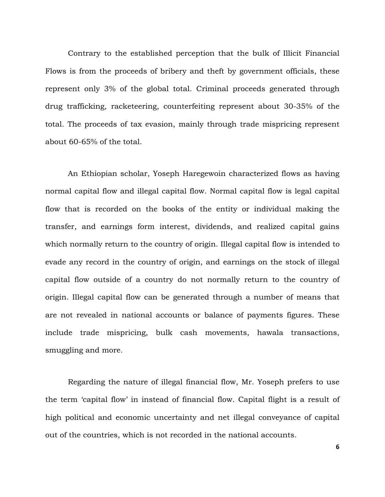Contrary to the established perception that the bulk of Illicit Financial Flows is from the proceeds of bribery and theft by government officials, these represent only 3% of the global total. Criminal proceeds generated through drug trafficking, racketeering, counterfeiting represent about 30-35% of the total. The proceeds of tax evasion, mainly through trade mispricing represent about 60-65% of the total.

An Ethiopian scholar, Yoseph Haregewoin characterized flows as having normal capital flow and illegal capital flow. Normal capital flow is legal capital flow that is recorded on the books of the entity or individual making the transfer, and earnings form interest, dividends, and realized capital gains which normally return to the country of origin. Illegal capital flow is intended to evade any record in the country of origin, and earnings on the stock of illegal capital flow outside of a country do not normally return to the country of origin. Illegal capital flow can be generated through a number of means that are not revealed in national accounts or balance of payments figures. These include trade mispricing, bulk cash movements, hawala transactions, smuggling and more.

Regarding the nature of illegal financial flow, Mr. Yoseph prefers to use the term 'capital flow' in instead of financial flow. Capital flight is a result of high political and economic uncertainty and net illegal conveyance of capital out of the countries, which is not recorded in the national accounts.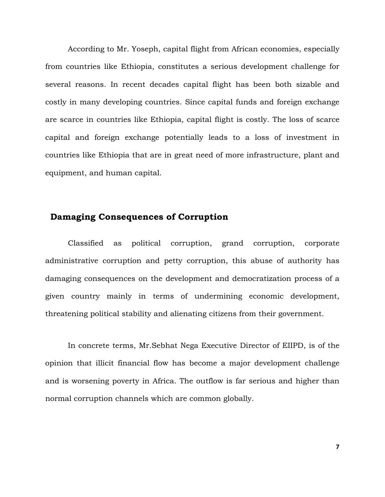According to Mr. Yoseph, capital flight from African economies, especially from countries like Ethiopia, constitutes a serious development challenge for several reasons. In recent decades capital flight has been both sizable and costly in many developing countries. Since capital funds and foreign exchange are scarce in countries like Ethiopia, capital flight is costly. The loss of scarce capital and foreign exchange potentially leads to a loss of investment in countries like Ethiopia that are in great need of more infrastructure, plant and equipment, and human capital.

## **Damaging Consequences of Corruption**

 Classified as political corruption, grand corruption, corporate administrative corruption and petty corruption, this abuse of authority has damaging consequences on the development and democratization process of a given country mainly in terms of undermining economic development, threatening political stability and alienating citizens from their government.

 In concrete terms, Mr.Sebhat Nega Executive Director of EIIPD, is of the opinion that illicit financial flow has become a major development challenge and is worsening poverty in Africa. The outflow is far serious and higher than normal corruption channels which are common globally.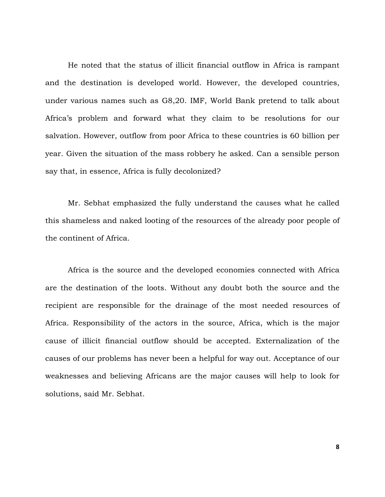He noted that the status of illicit financial outflow in Africa is rampant and the destination is developed world. However, the developed countries, under various names such as G8,20. IMF, World Bank pretend to talk about Africa's problem and forward what they claim to be resolutions for our salvation. However, outflow from poor Africa to these countries is 60 billion per year. Given the situation of the mass robbery he asked. Can a sensible person say that, in essence, Africa is fully decolonized?

 Mr. Sebhat emphasized the fully understand the causes what he called this shameless and naked looting of the resources of the already poor people of the continent of Africa.

 Africa is the source and the developed economies connected with Africa are the destination of the loots. Without any doubt both the source and the recipient are responsible for the drainage of the most needed resources of Africa. Responsibility of the actors in the source, Africa, which is the major cause of illicit financial outflow should be accepted. Externalization of the causes of our problems has never been a helpful for way out. Acceptance of our weaknesses and believing Africans are the major causes will help to look for solutions, said Mr. Sebhat.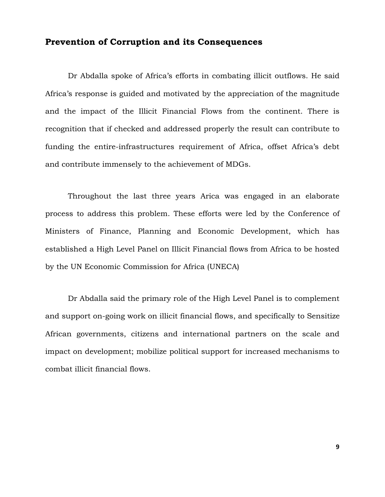#### **Prevention of Corruption and its Consequences**

Dr Abdalla spoke of Africa's efforts in combating illicit outflows. He said Africa's response is guided and motivated by the appreciation of the magnitude and the impact of the Illicit Financial Flows from the continent. There is recognition that if checked and addressed properly the result can contribute to funding the entire-infrastructures requirement of Africa, offset Africa's debt and contribute immensely to the achievement of MDGs.

Throughout the last three years Arica was engaged in an elaborate process to address this problem. These efforts were led by the Conference of Ministers of Finance, Planning and Economic Development, which has established a High Level Panel on Illicit Financial flows from Africa to be hosted by the UN Economic Commission for Africa (UNECA)

Dr Abdalla said the primary role of the High Level Panel is to complement and support on-going work on illicit financial flows, and specifically to Sensitize African governments, citizens and international partners on the scale and impact on development; mobilize political support for increased mechanisms to combat illicit financial flows.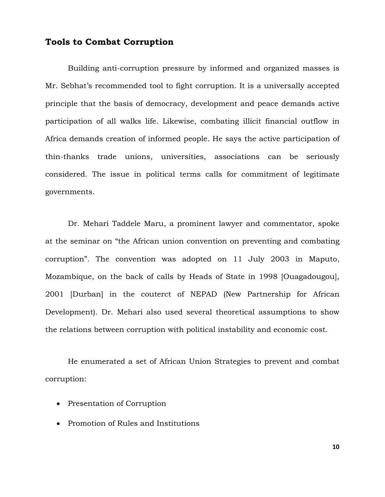#### **Tools to Combat Corruption**

 Building anti-corruption pressure by informed and organized masses is Mr. Sebhat's recommended tool to fight corruption. It is a universally accepted principle that the basis of democracy, development and peace demands active participation of all walks life. Likewise, combating illicit financial outflow in Africa demands creation of informed people. He says the active participation of thin-thanks trade unions, universities, associations can be seriously considered. The issue in political terms calls for commitment of legitimate governments.

 Dr. Mehari Taddele Maru, a prominent lawyer and commentator, spoke at the seminar on "the African union convention on preventing and combating corruption". The convention was adopted on 11 July 2003 in Maputo, Mozambique, on the back of calls by Heads of State in 1998 [Ouagadougou], 2001 [Durban] in the couterct of NEPAD (New Partnership for African Development). Dr. Mehari also used several theoretical assumptions to show the relations between corruption with political instability and economic cost.

 He enumerated a set of African Union Strategies to prevent and combat corruption:

- Presentation of Corruption
- Promotion of Rules and Institutions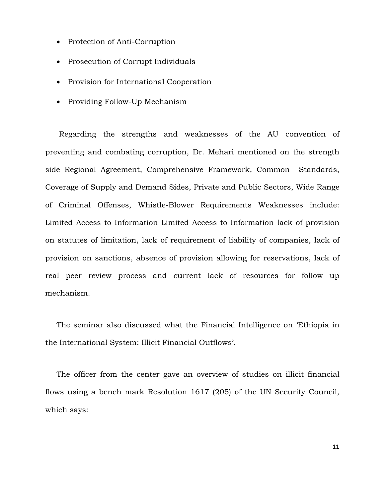- Protection of Anti-Corruption
- Prosecution of Corrupt Individuals
- Provision for International Cooperation
- Providing Follow-Up Mechanism

 Regarding the strengths and weaknesses of the AU convention of preventing and combating corruption, Dr. Mehari mentioned on the strength side Regional Agreement, Comprehensive Framework, Common Standards, Coverage of Supply and Demand Sides, Private and Public Sectors, Wide Range of Criminal Offenses, Whistle-Blower Requirements Weaknesses include: Limited Access to Information Limited Access to Information lack of provision on statutes of limitation, lack of requirement of liability of companies, lack of provision on sanctions, absence of provision allowing for reservations, lack of real peer review process and current lack of resources for follow up mechanism.

The seminar also discussed what the Financial Intelligence on 'Ethiopia in the International System: Illicit Financial Outflows'.

The officer from the center gave an overview of studies on illicit financial flows using a bench mark Resolution 1617 (205) of the UN Security Council, which says: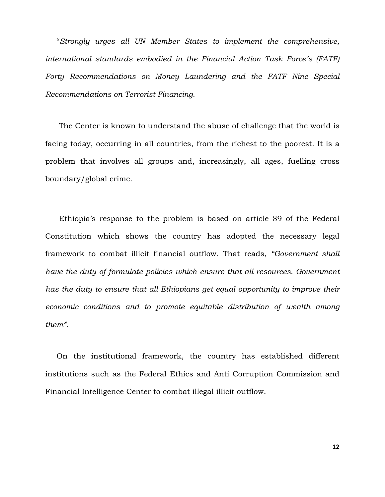"*Strongly urges all UN Member States to implement the comprehensive, international standards embodied in the Financial Action Task Force's (FATF) Forty Recommendations on Money Laundering and the FATF Nine Special Recommendations on Terrorist Financing.*

 The Center is known to understand the abuse of challenge that the world is facing today, occurring in all countries, from the richest to the poorest. It is a problem that involves all groups and, increasingly, all ages, fuelling cross boundary/global crime.

 Ethiopia's response to the problem is based on article 89 of the Federal Constitution which shows the country has adopted the necessary legal framework to combat illicit financial outflow. That reads, *"Government shall have the duty of formulate policies which ensure that all resources. Government has the duty to ensure that all Ethiopians get equal opportunity to improve their economic conditions and to promote equitable distribution of wealth among them".* 

On the institutional framework, the country has established different institutions such as the Federal Ethics and Anti Corruption Commission and Financial Intelligence Center to combat illegal illicit outflow.